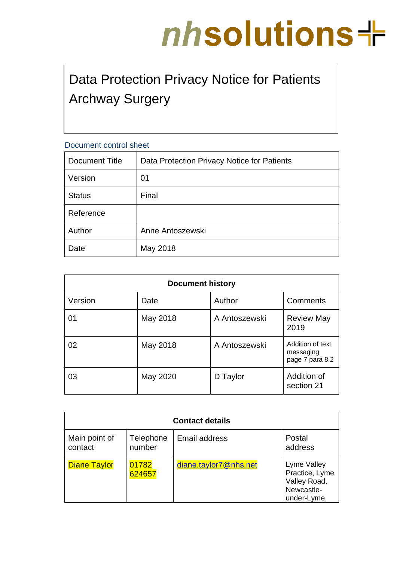# nhsolutions+

# Data Protection Privacy Notice for Patients Archway Surgery

# Document control sheet

| Document Title | Data Protection Privacy Notice for Patients |
|----------------|---------------------------------------------|
| Version        | 01                                          |
| <b>Status</b>  | Final                                       |
| Reference      |                                             |
| Author         | Anne Antoszewski                            |
| Date           | May 2018                                    |

| <b>Document history</b> |          |               |                                                  |  |  |  |
|-------------------------|----------|---------------|--------------------------------------------------|--|--|--|
| Version                 | Date     | Author        | Comments                                         |  |  |  |
| 01                      | May 2018 | A Antoszewski | <b>Review May</b><br>2019                        |  |  |  |
| 02                      | May 2018 | A Antoszewski | Addition of text<br>messaging<br>page 7 para 8.2 |  |  |  |
| 03                      | May 2020 | D Taylor      | Addition of<br>section 21                        |  |  |  |

| <b>Contact details</b>   |                     |                       |                                                                            |  |  |  |
|--------------------------|---------------------|-----------------------|----------------------------------------------------------------------------|--|--|--|
| Main point of<br>contact | Telephone<br>number | Email address         | Postal<br>address                                                          |  |  |  |
| <b>Diane Taylor</b>      | 01782<br>624657     | diane.taylor7@nhs.net | Lyme Valley<br>Practice, Lyme<br>Valley Road,<br>Newcastle-<br>under-Lyme, |  |  |  |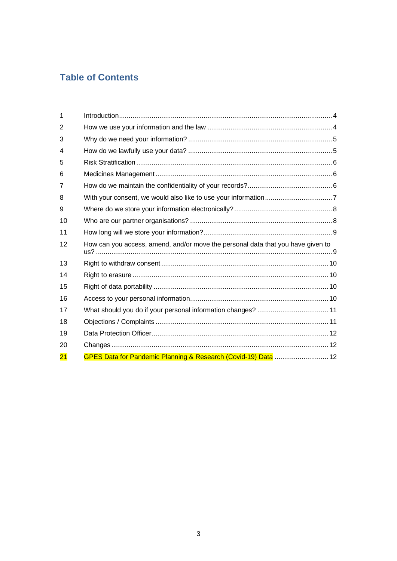# **Table of Contents**

| 1              |                                                                                 |  |
|----------------|---------------------------------------------------------------------------------|--|
| $\overline{2}$ |                                                                                 |  |
| 3              |                                                                                 |  |
| 4              |                                                                                 |  |
| 5              |                                                                                 |  |
| 6              |                                                                                 |  |
| $\overline{7}$ |                                                                                 |  |
| 8              |                                                                                 |  |
| 9              |                                                                                 |  |
| 10             |                                                                                 |  |
| 11             |                                                                                 |  |
| 12             | How can you access, amend, and/or move the personal data that you have given to |  |
| 13             |                                                                                 |  |
| 14             |                                                                                 |  |
| 15             |                                                                                 |  |
| 16             |                                                                                 |  |
| 17             |                                                                                 |  |
| 18             |                                                                                 |  |
| 19             |                                                                                 |  |
| 20             |                                                                                 |  |
| 21             | GPES Data for Pandemic Planning & Research (Covid-19) Data  12                  |  |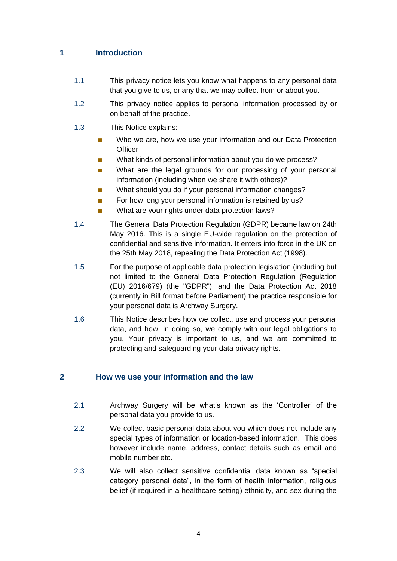### <span id="page-3-0"></span>**1 Introduction**

- 1.1 This privacy notice lets you know what happens to any personal data that you give to us, or any that we may collect from or about you.
- 1.2 This privacy notice applies to personal information processed by or on behalf of the practice.
- 1.3 This Notice explains:
	- Who we are, how we use your information and our Data Protection **Officer**
	- What kinds of personal information about you do we process?
	- What are the legal grounds for our processing of your personal information (including when we share it with others)?
	- What should you do if your personal information changes?
	- For how long your personal information is retained by us?
	- What are your rights under data protection laws?
- 1.4 The General Data Protection Regulation (GDPR) became law on 24th May 2016. This is a single EU-wide regulation on the protection of confidential and sensitive information. It enters into force in the UK on the 25th May 2018, repealing the Data Protection Act (1998).
- 1.5 For the purpose of applicable data protection legislation (including but not limited to the General Data Protection Regulation (Regulation (EU) 2016/679) (the "GDPR"), and the Data Protection Act 2018 (currently in Bill format before Parliament) the practice responsible for your personal data is Archway Surgery.
- 1.6 This Notice describes how we collect, use and process your personal data, and how, in doing so, we comply with our legal obligations to you. Your privacy is important to us, and we are committed to protecting and safeguarding your data privacy rights.

#### <span id="page-3-1"></span>**2 How we use your information and the law**

- 2.1 Archway Surgery will be what's known as the 'Controller' of the personal data you provide to us.
- 2.2 We collect basic personal data about you which does not include any special types of information or location-based information. This does however include name, address, contact details such as email and mobile number etc.
- 2.3 We will also collect sensitive confidential data known as "special category personal data", in the form of health information, religious belief (if required in a healthcare setting) ethnicity, and sex during the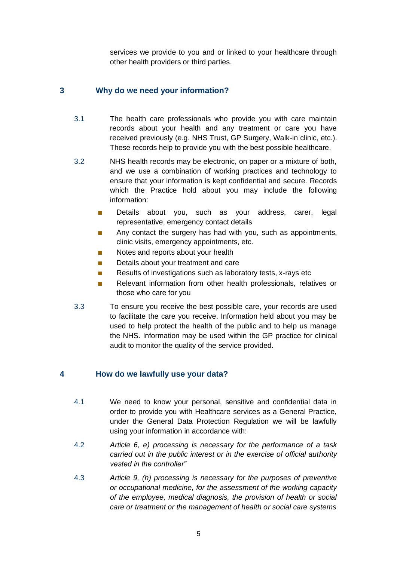services we provide to you and or linked to your healthcare through other health providers or third parties.

# <span id="page-4-0"></span>**3 Why do we need your information?**

- 3.1 The health care professionals who provide you with care maintain records about your health and any treatment or care you have received previously (e.g. NHS Trust, GP Surgery, Walk-in clinic, etc.). These records help to provide you with the best possible healthcare.
- 3.2 NHS health records may be electronic, on paper or a mixture of both, and we use a combination of working practices and technology to ensure that your information is kept confidential and secure. Records which the Practice hold about you may include the following information:
	- Details about you, such as your address, carer, legal representative, emergency contact details
	- Any contact the surgery has had with you, such as appointments, clinic visits, emergency appointments, etc.
	- Notes and reports about your health
	- Details about your treatment and care
	- Results of investigations such as laboratory tests, x-rays etc
	- Relevant information from other health professionals, relatives or those who care for you
- 3.3 To ensure you receive the best possible care, your records are used to facilitate the care you receive. Information held about you may be used to help protect the health of the public and to help us manage the NHS. Information may be used within the GP practice for clinical audit to monitor the quality of the service provided.

# <span id="page-4-1"></span>**4 How do we lawfully use your data?**

- 4.1 We need to know your personal, sensitive and confidential data in order to provide you with Healthcare services as a General Practice, under the General Data Protection Regulation we will be lawfully using your information in accordance with:
- 4.2 *Article 6, e) processing is necessary for the performance of a task carried out in the public interest or in the exercise of official authority vested in the controller"*
- 4.3 *Article 9, (h) processing is necessary for the purposes of preventive or occupational medicine, for the assessment of the working capacity of the employee, medical diagnosis, the provision of health or social care or treatment or the management of health or social care systems*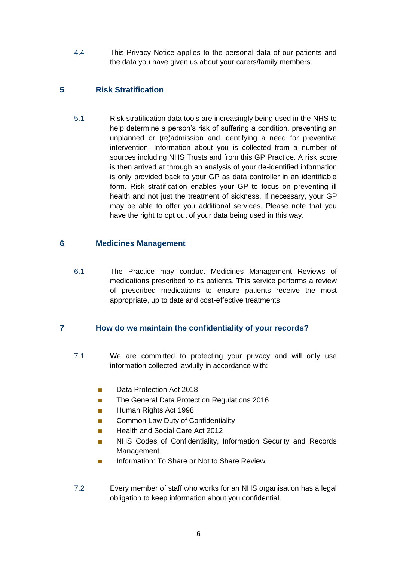4.4 This Privacy Notice applies to the personal data of our patients and the data you have given us about your carers/family members.

# <span id="page-5-0"></span>**5 Risk Stratification**

5.1 Risk stratification data tools are increasingly being used in the NHS to help determine a person's risk of suffering a condition, preventing an unplanned or (re)admission and identifying a need for preventive intervention. Information about you is collected from a number of sources including NHS Trusts and from this GP Practice. A risk score is then arrived at through an analysis of your de-identified information is only provided back to your GP as data controller in an identifiable form. Risk stratification enables your GP to focus on preventing ill health and not just the treatment of sickness. If necessary, your GP may be able to offer you additional services. Please note that you have the right to opt out of your data being used in this way.

#### <span id="page-5-1"></span>**6 Medicines Management**

6.1 The Practice may conduct Medicines Management Reviews of medications prescribed to its patients. This service performs a review of prescribed medications to ensure patients receive the most appropriate, up to date and cost-effective treatments.

#### <span id="page-5-2"></span>**7 How do we maintain the confidentiality of your records?**

- 7.1 We are committed to protecting your privacy and will only use information collected lawfully in accordance with:
	- Data Protection Act 2018
	- The General Data Protection Regulations 2016
	- Human Rights Act 1998
	- Common Law Duty of Confidentiality
	- **Health and Social Care Act 2012**
	- NHS Codes of Confidentiality, Information Security and Records Management
	- Information: To Share or Not to Share Review
- 7.2 Every member of staff who works for an NHS organisation has a legal obligation to keep information about you confidential.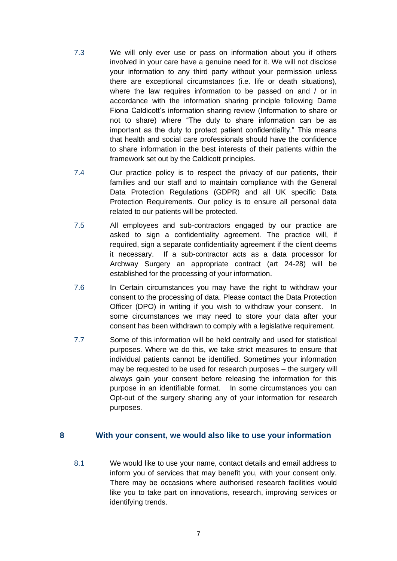- 7.3 We will only ever use or pass on information about you if others involved in your care have a genuine need for it. We will not disclose your information to any third party without your permission unless there are exceptional circumstances (i.e. life or death situations), where the law requires information to be passed on and / or in accordance with the information sharing principle following Dame Fiona Caldicott's information sharing review (Information to share or not to share) where "The duty to share information can be as important as the duty to protect patient confidentiality." This means that health and social care professionals should have the confidence to share information in the best interests of their patients within the framework set out by the Caldicott principles.
- 7.4 Our practice policy is to respect the privacy of our patients, their families and our staff and to maintain compliance with the General Data Protection Regulations (GDPR) and all UK specific Data Protection Requirements. Our policy is to ensure all personal data related to our patients will be protected.
- 7.5 All employees and sub-contractors engaged by our practice are asked to sign a confidentiality agreement. The practice will, if required, sign a separate confidentiality agreement if the client deems it necessary. If a sub-contractor acts as a data processor for Archway Surgery an appropriate contract (art 24-28) will be established for the processing of your information.
- 7.6 In Certain circumstances you may have the right to withdraw your consent to the processing of data. Please contact the Data Protection Officer (DPO) in writing if you wish to withdraw your consent. In some circumstances we may need to store your data after your consent has been withdrawn to comply with a legislative requirement.
- 7.7 Some of this information will be held centrally and used for statistical purposes. Where we do this, we take strict measures to ensure that individual patients cannot be identified. Sometimes your information may be requested to be used for research purposes – the surgery will always gain your consent before releasing the information for this purpose in an identifiable format. In some circumstances you can Opt-out of the surgery sharing any of your information for research purposes.

#### <span id="page-6-0"></span>**8 With your consent, we would also like to use your information**

8.1 We would like to use your name, contact details and email address to inform you of services that may benefit you, with your consent only. There may be occasions where authorised research facilities would like you to take part on innovations, research, improving services or identifying trends.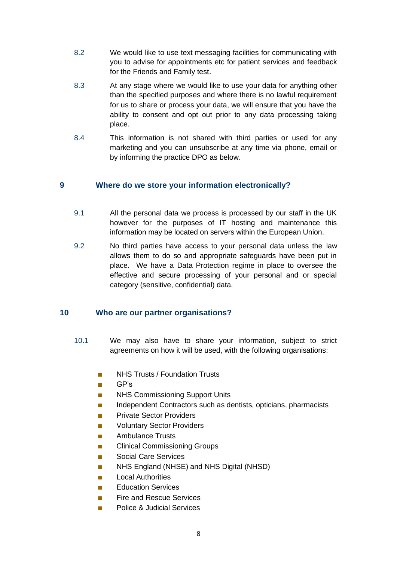- 8.2 We would like to use text messaging facilities for communicating with you to advise for appointments etc for patient services and feedback for the Friends and Family test.
- 8.3 At any stage where we would like to use your data for anything other than the specified purposes and where there is no lawful requirement for us to share or process your data, we will ensure that you have the ability to consent and opt out prior to any data processing taking place.
- 8.4 This information is not shared with third parties or used for any marketing and you can unsubscribe at any time via phone, email or by informing the practice DPO as below.

#### <span id="page-7-0"></span>**9 Where do we store your information electronically?**

- 9.1 All the personal data we process is processed by our staff in the UK however for the purposes of IT hosting and maintenance this information may be located on servers within the European Union.
- 9.2 No third parties have access to your personal data unless the law allows them to do so and appropriate safeguards have been put in place. We have a Data Protection regime in place to oversee the effective and secure processing of your personal and or special category (sensitive, confidential) data.

#### <span id="page-7-1"></span>**10 Who are our partner organisations?**

- 10.1 We may also have to share your information, subject to strict agreements on how it will be used, with the following organisations:
	- NHS Trusts / Foundation Trusts
	- GP's
	- **NHS Commissioning Support Units**
	- Independent Contractors such as dentists, opticians, pharmacists
	- **Private Sector Providers**
	- Voluntary Sector Providers
	- Ambulance Trusts
	- Clinical Commissioning Groups
	- Social Care Services
	- NHS England (NHSE) and NHS Digital (NHSD)
	- **Local Authorities**
	- Education Services
	- **Fire and Rescue Services**
	- Police & Judicial Services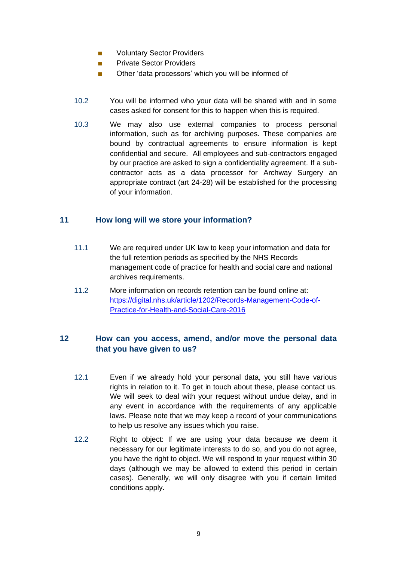- Voluntary Sector Providers
- Private Sector Providers
- Other 'data processors' which you will be informed of
- 10.2 You will be informed who your data will be shared with and in some cases asked for consent for this to happen when this is required.
- 10.3 We may also use external companies to process personal information, such as for archiving purposes. These companies are bound by contractual agreements to ensure information is kept confidential and secure. All employees and sub-contractors engaged by our practice are asked to sign a confidentiality agreement. If a subcontractor acts as a data processor for Archway Surgery an appropriate contract (art 24-28) will be established for the processing of your information.

#### <span id="page-8-0"></span>**11 How long will we store your information?**

- 11.1 We are required under UK law to keep your information and data for the full retention periods as specified by the NHS Records management code of practice for health and social care and national archives requirements.
- 11.2 More information on records retention can be found online at: [https://digital.nhs.uk/article/1202/Records-Management-Code-of-](https://digital.nhs.uk/article/1202/Records-Management-Code-of-Practice-for-Health-and-Social-Care-2016)[Practice-for-Health-and-Social-Care-2016](https://digital.nhs.uk/article/1202/Records-Management-Code-of-Practice-for-Health-and-Social-Care-2016)

#### <span id="page-8-1"></span>**12 How can you access, amend, and/or move the personal data that you have given to us?**

- 12.1 Even if we already hold your personal data, you still have various rights in relation to it. To get in touch about these, please contact us. We will seek to deal with your request without undue delay, and in any event in accordance with the requirements of any applicable laws. Please note that we may keep a record of your communications to help us resolve any issues which you raise.
- 12.2 Right to object: If we are using your data because we deem it necessary for our legitimate interests to do so, and you do not agree, you have the right to object. We will respond to your request within 30 days (although we may be allowed to extend this period in certain cases). Generally, we will only disagree with you if certain limited conditions apply.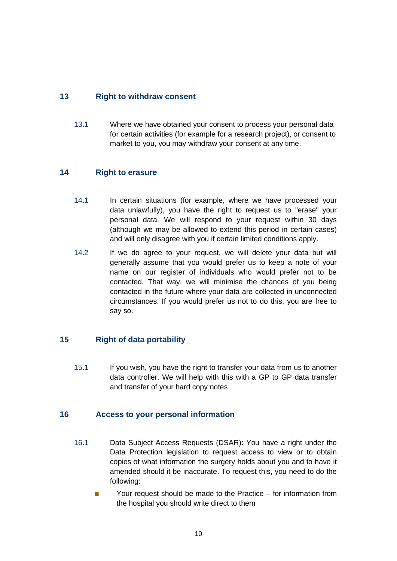#### <span id="page-9-0"></span>**13 Right to withdraw consent**

13.1 Where we have obtained your consent to process your personal data for certain activities (for example for a research project), or consent to market to you, you may withdraw your consent at any time.

#### <span id="page-9-1"></span>**14 Right to erasure**

- 14.1 In certain situations (for example, where we have processed your data unlawfully), you have the right to request us to "erase" your personal data. We will respond to your request within 30 days (although we may be allowed to extend this period in certain cases) and will only disagree with you if certain limited conditions apply.
- 14.2 If we do agree to your request, we will delete your data but will generally assume that you would prefer us to keep a note of your name on our register of individuals who would prefer not to be contacted. That way, we will minimise the chances of you being contacted in the future where your data are collected in unconnected circumstances. If you would prefer us not to do this, you are free to say so.

#### <span id="page-9-2"></span>**15 Right of data portability**

15.1 If you wish, you have the right to transfer your data from us to another data controller. We will help with this with a GP to GP data transfer and transfer of your hard copy notes

#### <span id="page-9-3"></span>**16 Access to your personal information**

- 16.1 Data Subject Access Requests (DSAR): You have a right under the Data Protection legislation to request access to view or to obtain copies of what information the surgery holds about you and to have it amended should it be inaccurate. To request this, you need to do the following:
	- Your request should be made to the Practice for information from the hospital you should write direct to them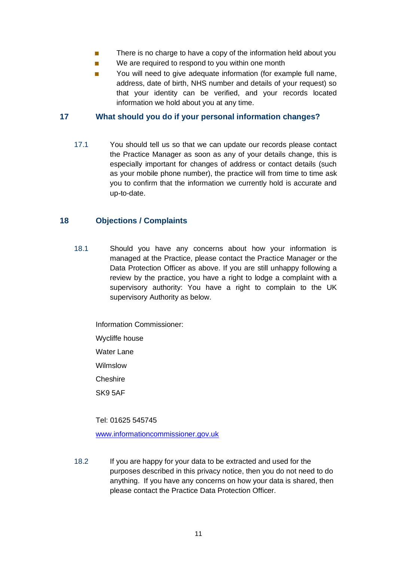- There is no charge to have a copy of the information held about you
- We are required to respond to you within one month
- You will need to give adequate information (for example full name, address, date of birth, NHS number and details of your request) so that your identity can be verified, and your records located information we hold about you at any time.

#### <span id="page-10-0"></span>**17 What should you do if your personal information changes?**

17.1 You should tell us so that we can update our records please contact the Practice Manager as soon as any of your details change, this is especially important for changes of address or contact details (such as your mobile phone number), the practice will from time to time ask you to confirm that the information we currently hold is accurate and up-to-date.

#### <span id="page-10-1"></span>**18 Objections / Complaints**

18.1 Should you have any concerns about how your information is managed at the Practice, please contact the Practice Manager or the Data Protection Officer as above. If you are still unhappy following a review by the practice, you have a right to lodge a complaint with a supervisory authority: You have a right to complain to the UK supervisory Authority as below.

Information Commissioner: Wycliffe house Water Lane Wilmslow Cheshire SK9 5AF

Tel: 01625 545745

[www.informationcommissioner.gov.uk](http://www.informationcommissioner.gov.uk/)

18.2 If you are happy for your data to be extracted and used for the purposes described in this privacy notice, then you do not need to do anything. If you have any concerns on how your data is shared, then please contact the Practice Data Protection Officer.